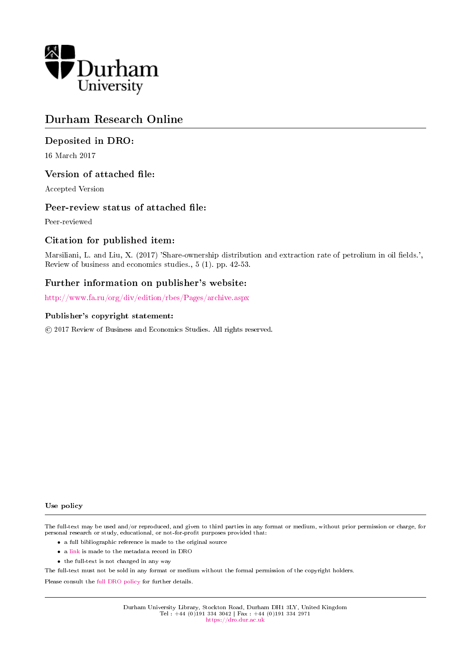

## Durham Research Online

## Deposited in DRO:

16 March 2017

## Version of attached file:

Accepted Version

## Peer-review status of attached file:

Peer-reviewed

## Citation for published item:

Marsiliani, L. and Liu, X. (2017) 'Share-ownership distribution and extraction rate of petrolium in oil fields.', Review of business and economics studies., 5 (1). pp. 42-53.

## Further information on publisher's website:

<http://www.fa.ru/org/div/edition/rbes/Pages/archive.aspx>

#### Publisher's copyright statement:

c 2017 Review of Business and Economics Studies. All rights reserved.

#### Use policy

The full-text may be used and/or reproduced, and given to third parties in any format or medium, without prior permission or charge, for personal research or study, educational, or not-for-profit purposes provided that:

- a full bibliographic reference is made to the original source
- a [link](http://dro.dur.ac.uk/21287/) is made to the metadata record in DRO
- the full-text is not changed in any way

The full-text must not be sold in any format or medium without the formal permission of the copyright holders.

Please consult the [full DRO policy](https://dro.dur.ac.uk/policies/usepolicy.pdf) for further details.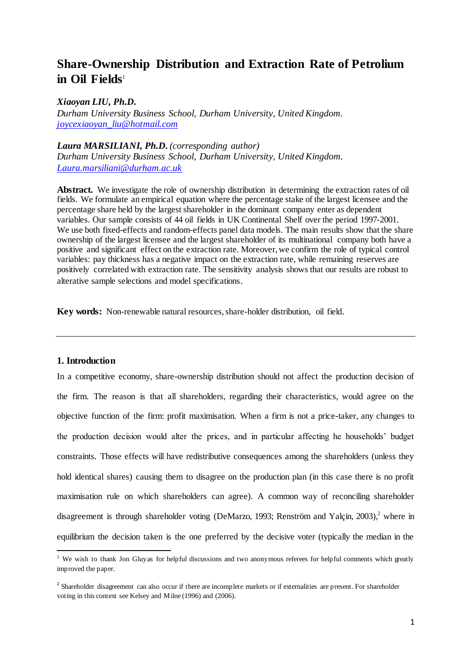# **Share-Ownership Distribution and Extraction Rate of Petrolium**  in Oil Fields<sup>1</sup>

#### *Xiaoyan LIU, Ph.D.*

*Durham University Business School, Durham University, United Kingdom. [joycexiaoyan\\_liu@hotmail.com](mailto:joycexiaoyan_liu@hotmail.com)*

#### *Laura MARSILIANI, Ph.D. (corresponding author)*

*Durham University Business School, Durham University, United Kingdom. [Laura.marsiliani@durham.ac.uk](mailto:Laura.marsiliani@durham.ac.uk)*

**Abstract.** We investigate the role of ownership distribution in determining the extraction rates of oil fields. We formulate an empirical equation where the percentage stake of the largest licensee and the percentage share held by the largest shareholder in the dominant company enter as dependent variables. Our sample consists of 44 oil fields in UK Continental Shelf over the period 1997-2001. We use both fixed-effects and random-effects panel data models. The main results show that the share ownership of the largest licensee and the largest shareholder of its multinational company both have a positive and significant effect on the extraction rate. Moreover, we confirm the role of typical control variables: pay thickness has a negative impact on the extraction rate, while remaining reserves are positively correlated with extraction rate. The sensitivity analysis shows that our results are robust to alterative sample selections and model specifications.

**Key words:** Non-renewable natural resources, share-holder distribution, oil field.

#### **1. Introduction**

 $\overline{a}$ 

In a competitive economy, share-ownership distribution should not affect the production decision of the firm. The reason is that all shareholders, regarding their characteristics, would agree on the objective function of the firm: profit maximisation. When a firm is not a price-taker, any changes to the production decision would alter the prices, and in particular affecting he households' budget constraints. Those effects will have redistributive consequences among the shareholders (unless they hold identical shares) causing them to disagree on the production plan (in this case there is no profit maximisation rule on which shareholders can agree). A common way of reconciling shareholder disagreement is through shareholder voting (DeMarzo, 1993; Renström and Yalçin, 2003),<sup>2</sup> where in equilibrium the decision taken is the one preferred by the decisive voter (typically the median in the

<sup>&</sup>lt;sup>1</sup> We wish to thank Jon Gluyas for helpful discussions and two anonymous referees for helpful comments which greatly improved the paper.

 $2<sup>2</sup>$  Shareholder disagreement can also occur if there are incomplete markets or if externalities are present. For shareholder voting in this context see Kelsey and Milne (1996) and (2006).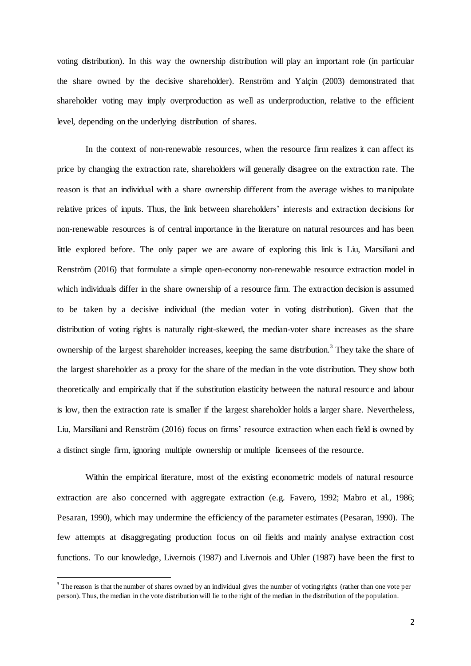voting distribution). In this way the ownership distribution will play an important role (in particular the share owned by the decisive shareholder). Renström and Yalçin (2003) demonstrated that shareholder voting may imply overproduction as well as underproduction, relative to the efficient level, depending on the underlying distribution of shares.

In the context of non-renewable resources, when the resource firm realizes it can affect its price by changing the extraction rate, shareholders will generally disagree on the extraction rate. The reason is that an individual with a share ownership different from the average wishes to manipulate relative prices of inputs. Thus, the link between shareholders' interests and extraction decisions for non-renewable resources is of central importance in the literature on natural resources and has been little explored before. The only paper we are aware of exploring this link is Liu, Marsiliani and Renström (2016) that formulate a simple open-economy non-renewable resource extraction model in which individuals differ in the share ownership of a resource firm. The extraction decision is assumed to be taken by a decisive individual (the median voter in voting distribution). Given that the distribution of voting rights is naturally right-skewed, the median-voter share increases as the share ownership of the largest shareholder increases, keeping the same distribution.<sup>3</sup> They take the share of the largest shareholder as a proxy for the share of the median in the vote distribution. They show both theoretically and empirically that if the substitution elasticity between the natural resource and labour is low, then the extraction rate is smaller if the largest shareholder holds a larger share. Nevertheless, Liu, Marsiliani and Renström (2016) focus on firms' resource extraction when each field is owned by a distinct single firm, ignoring multiple ownership or multiple licensees of the resource.

Within the empirical literature, most of the existing econometric models of natural resource extraction are also concerned with aggregate extraction (e.g. Favero, 1992; Mabro et al., 1986; Pesaran, 1990), which may undermine the efficiency of the parameter estimates (Pesaran, 1990). The few attempts at disaggregating production focus on oil fields and mainly analyse extraction cost functions. To our knowledge, Livernois (1987) and Livernois and Uhler (1987) have been the first to

 $\overline{a}$ 

<sup>&</sup>lt;sup>3</sup> The reason is that the number of shares owned by an individual gives the number of voting rights (rather than one vote per person). Thus, the median in the vote distribution will lie to the right of the median in the distribution of the population.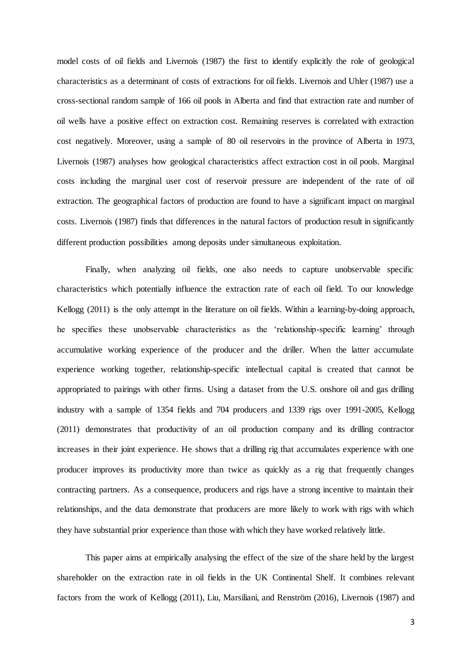model costs of oil fields and Livernois (1987) the first to identify explicitly the role of geological characteristics as a determinant of costs of extractions for oil fields. Livernois and Uhler (1987) use a cross-sectional random sample of 166 oil pools in Alberta and find that extraction rate and number of oil wells have a positive effect on extraction cost. Remaining reserves is correlated with extraction cost negatively. Moreover, using a sample of 80 oil reservoirs in the province of Alberta in 1973, Livernois (1987) analyses how geological characteristics affect extraction cost in oil pools. Marginal costs including the marginal user cost of reservoir pressure are independent of the rate of oil extraction. The geographical factors of production are found to have a significant impact on marginal costs. Livernois (1987) finds that differences in the natural factors of production result in significantly different production possibilities among deposits under simultaneous exploitation.

Finally, when analyzing oil fields, one also needs to capture unobservable specific characteristics which potentially influence the extraction rate of each oil field. To our knowledge Kellogg (2011) is the only attempt in the literature on oil fields. Within a learning-by-doing approach, he specifies these unobservable characteristics as the 'relationship-specific learning' through accumulative working experience of the producer and the driller. When the latter accumulate experience working together, relationship-specific intellectual capital is created that cannot be appropriated to pairings with other firms. Using a dataset from the U.S. onshore oil and gas drilling industry with a sample of 1354 fields and 704 producers and 1339 rigs over 1991-2005, Kellogg (2011) demonstrates that productivity of an oil production company and its drilling contractor increases in their joint experience. He shows that a drilling rig that accumulates experience with one producer improves its productivity more than twice as quickly as a rig that frequently changes contracting partners. As a consequence, producers and rigs have a strong incentive to maintain their relationships, and the data demonstrate that producers are more likely to work with rigs with which they have substantial prior experience than those with which they have worked relatively little.

This paper aims at empirically analysing the effect of the size of the share held by the largest shareholder on the extraction rate in oil fields in the UK Continental Shelf. It combines relevant factors from the work of Kellogg (2011), Liu, Marsiliani, and Renström (2016), Livernois (1987) and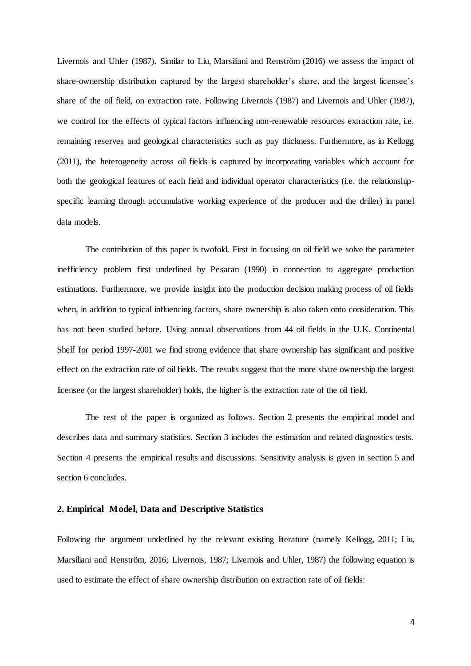Livernois and Uhler (1987). Similar to Liu, Marsiliani and Renström (2016) we assess the impact of share-ownership distribution captured by the largest shareholder's share, and the largest licensee's share of the oil field, on extraction rate. Following Livernois (1987) and Livernois and Uhler (1987), we control for the effects of typical factors influencing non-renewable resources extraction rate, i.e. remaining reserves and geological characteristics such as pay thickness. Furthermore, as in Kellogg (2011), the heterogeneity across oil fields is captured by incorporating variables which account for both the geological features of each field and individual operator characteristics (i.e. the relationshipspecific learning through accumulative working experience of the producer and the driller) in panel data models.

The contribution of this paper is twofold. First in focusing on oil field we solve the parameter inefficiency problem first underlined by Pesaran (1990) in connection to aggregate production estimations. Furthermore, we provide insight into the production decision making process of oil fields when, in addition to typical influencing factors, share ownership is also taken onto consideration. This has not been studied before. Using annual observations from 44 oil fields in the U.K. Continental Shelf for period 1997-2001 we find strong evidence that share ownership has significant and positive effect on the extraction rate of oil fields. The results suggest that the more share ownership the largest licensee (or the largest shareholder) holds, the higher is the extraction rate of the oil field.

The rest of the paper is organized as follows. Section 2 presents the empirical model and describes data and summary statistics. Section 3 includes the estimation and related diagnostics tests. Section 4 presents the empirical results and discussions. Sensitivity analysis is given in section 5 and section 6 concludes.

#### **2. Empirical Model, Data and Descriptive Statistics**

Following the argument underlined by the relevant existing literature (namely Kellogg, 2011; Liu, Marsiliani and Renström, 2016; Livernois, 1987; Livernois and Uhler, 1987) the following equation is used to estimate the effect of share ownership distribution on extraction rate of oil fields: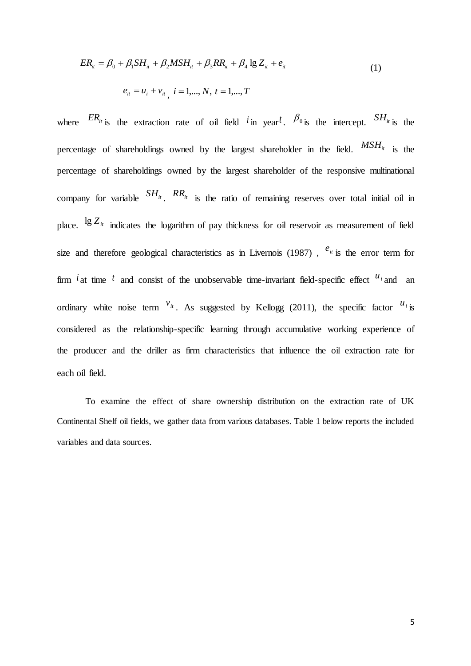$$
ER_{it} = \beta_0 + \beta_1 SH_{it} + \beta_2 MSH_{it} + \beta_3 RR_{it} + \beta_4 \lg Z_{it} + e_{it}
$$
  
\n
$$
e_{it} = u_i + v_{it}, \quad i = 1,..., N, \quad t = 1,..., T
$$
\n(1)

where  $ER_{ii}$  is the extraction rate of oil field  $i$  in year<sup>t</sup>.  $\beta_{0}$  is the intercept.  $SH_{ii}$  is the percentage of shareholdings owned by the largest shareholder in the field.  $MSH_i$  is the percentage of shareholdings owned by the largest shareholder of the responsive multinational company for variable  $SH_{it}$ .  $RR_{it}$  is the ratio of remaining reserves over total initial oil in place. <sup>1g Z</sup><sup>*it*</sup> indicates the logarithm of pay thickness for oil reservoir as measurement of field size and therefore geological characteristics as in Livernois (1987),  $e_{it}$  is the error term for firm  $i$  at time  $t$  and consist of the unobservable time-invariant field-specific effect  $u_i$  and an ordinary white noise term  $v_{it}$ . As suggested by Kellogg (2011), the specific factor  $u_i$  is considered as the relationship-specific learning through accumulative working experience of the producer and the driller as firm characteristics that influence the oil extraction rate for each oil field.

To examine the effect of share ownership distribution on the extraction rate of UK Continental Shelf oil fields, we gather data from various databases. Table 1 below reports the included variables and data sources.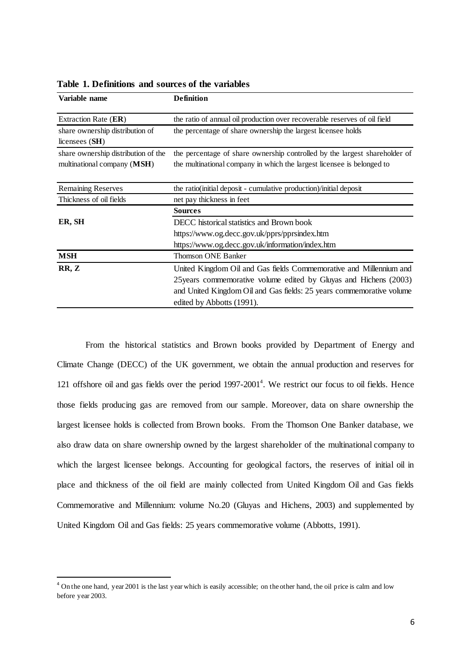| Variable name                                                      | <b>Definition</b>                                                                                                                                    |  |  |  |
|--------------------------------------------------------------------|------------------------------------------------------------------------------------------------------------------------------------------------------|--|--|--|
| Extraction Rate (ER)                                               | the ratio of annual oil production over recoverable reserves of oil field                                                                            |  |  |  |
| share ownership distribution of<br>licensees $(SH)$                | the percentage of share ownership the largest licensee holds                                                                                         |  |  |  |
| share ownership distribution of the<br>multinational company (MSH) | the percentage of share ownership controlled by the largest shareholder of<br>the multinational company in which the largest licensee is belonged to |  |  |  |
| <b>Remaining Reserves</b>                                          | the ratio(initial deposit - cumulative production)/initial deposit                                                                                   |  |  |  |
| Thickness of oil fields                                            | net pay thickness in feet                                                                                                                            |  |  |  |
|                                                                    | <b>Sources</b>                                                                                                                                       |  |  |  |
| ER, SH                                                             | DECC historical statistics and Brown book                                                                                                            |  |  |  |
|                                                                    | https://www.og.decc.gov.uk/pprs/pprsindex.htm                                                                                                        |  |  |  |
|                                                                    | https://www.og.decc.gov.uk/information/index.htm                                                                                                     |  |  |  |
| <b>MSH</b>                                                         | <b>Thomson ONE Banker</b>                                                                                                                            |  |  |  |
| RR, Z                                                              | United Kingdom Oil and Gas fields Commemorative and Millennium and                                                                                   |  |  |  |
|                                                                    | 25 years commemorative volume edited by Gluyas and Hichens (2003)                                                                                    |  |  |  |
|                                                                    | and United Kingdom Oil and Gas fields: 25 years commemorative volume                                                                                 |  |  |  |
|                                                                    | edited by Abbotts (1991).                                                                                                                            |  |  |  |

**Table 1. Definitions and sources of the variables**

From the historical statistics and Brown books provided by Department of Energy and Climate Change (DECC) of the UK government, we obtain the annual production and reserves for 121 offshore oil and gas fields over the period 1997-2001<sup>4</sup>. We restrict our focus to oil fields. Hence those fields producing gas are removed from our sample. Moreover, data on share ownership the largest licensee holds is collected from Brown books. From the Thomson One Banker database, we also draw data on share ownership owned by the largest shareholder of the multinational company to which the largest licensee belongs. Accounting for geological factors, the reserves of initial oil in place and thickness of the oil field are mainly collected from United Kingdom Oil and Gas fields Commemorative and Millennium: volume No.20 (Gluyas and Hichens, 2003) and supplemented by United Kingdom Oil and Gas fields: 25 years commemorative volume (Abbotts, 1991).

 $\overline{a}$ 

<sup>&</sup>lt;sup>4</sup> On the one hand, year 2001 is the last year which is easily accessible; on the other hand, the oil price is calm and low before year 2003.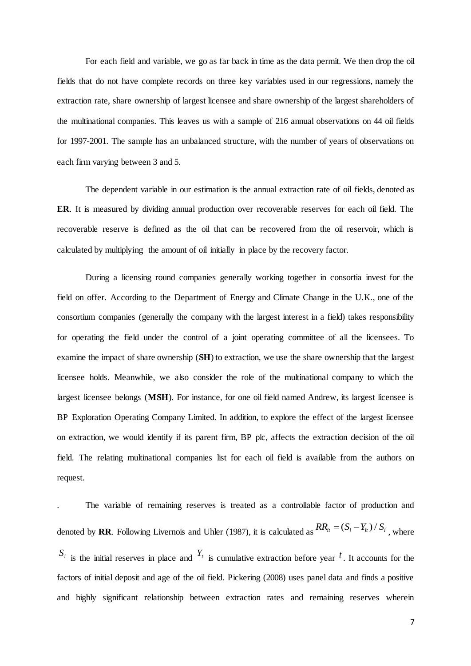For each field and variable, we go as far back in time as the data permit. We then drop the oil fields that do not have complete records on three key variables used in our regressions, namely the extraction rate, share ownership of largest licensee and share ownership of the largest shareholders of the multinational companies. This leaves us with a sample of 216 annual observations on 44 oil fields for 1997-2001. The sample has an unbalanced structure, with the number of years of observations on each firm varying between 3 and 5.

The dependent variable in our estimation is the annual extraction rate of oil fields, denoted as **ER**. It is measured by dividing annual production over recoverable reserves for each oil field. The recoverable reserve is defined as the oil that can be recovered from the oil reservoir, which is calculated by multiplying the amount of oil initially in place by the recovery factor.

During a licensing round companies generally working together in consortia invest for the field on offer. According to the Department of Energy and Climate Change in the U.K., one of the consortium companies (generally the company with the largest interest in a field) takes responsibility for operating the field under the control of a joint operating committee of all the licensees. To examine the impact of share ownership (**SH**) to extraction, we use the share ownership that the largest licensee holds. Meanwhile, we also consider the role of the multinational company to which the largest licensee belongs (**MSH**). For instance, for one oil field named Andrew, its largest licensee is BP Exploration Operating Company Limited. In addition, to explore the effect of the largest licensee on extraction, we would identify if its parent firm, BP plc, affects the extraction decision of the oil field. The relating multinational companies list for each oil field is available from the authors on request.

. The variable of remaining reserves is treated as a controllable factor of production and denoted by **RR**. Following Livernois and Uhler (1987), it is calculated as  $RR_{it} = (S_i - Y_{it})/S_i$ , where  $S_i$  is the initial reserves in place and  $Y_t$  is cumulative extraction before year <sup>*t*</sup>. It accounts for the factors of initial deposit and age of the oil field. Pickering (2008) uses panel data and finds a positive and highly significant relationship between extraction rates and remaining reserves wherein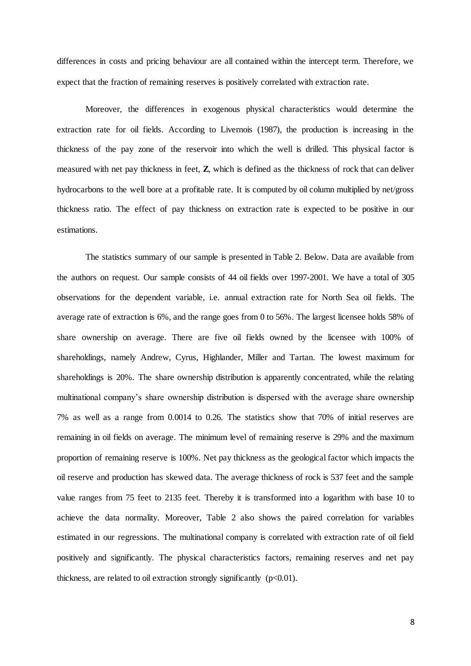differences in costs and pricing behaviour are all contained within the intercept term. Therefore, we expect that the fraction of remaining reserves is positively correlated with extraction rate.

Moreover, the differences in exogenous physical characteristics would determine the extraction rate for oil fields. According to Livernois (1987), the production is increasing in the thickness of the pay zone of the reservoir into which the well is drilled. This physical factor is measured with net pay thickness in feet, **Z**, which is defined as the thickness of rock that can deliver hydrocarbons to the well bore at a profitable rate. It is computed by oil column multiplied by net/gross thickness ratio. The effect of pay thickness on extraction rate is expected to be positive in our estimations.

The statistics summary of our sample is presented in Table 2. Below. Data are available from the authors on request. Our sample consists of 44 oil fields over 1997-2001. We have a total of 305 observations for the dependent variable, i.e. annual extraction rate for North Sea oil fields. The average rate of extraction is 6%, and the range goes from 0 to 56%. The largest licensee holds 58% of share ownership on average. There are five oil fields owned by the licensee with 100% of shareholdings, namely Andrew, Cyrus, Highlander, Miller and Tartan. The lowest maximum for shareholdings is 20%. The share ownership distribution is apparently concentrated, while the relating multinational company's share ownership distribution is dispersed with the average share ownership 7% as well as a range from 0.0014 to 0.26. The statistics show that 70% of initial reserves are remaining in oil fields on average. The minimum level of remaining reserve is 29% and the maximum proportion of remaining reserve is 100%. Net pay thickness as the geological factor which impacts the oil reserve and production has skewed data. The average thickness of rock is 537 feet and the sample value ranges from 75 feet to 2135 feet. Thereby it is transformed into a logarithm with base 10 to achieve the data normality. Moreover, Table 2 also shows the paired correlation for variables estimated in our regressions. The multinational company is correlated with extraction rate of oil field positively and significantly. The physical characteristics factors, remaining reserves and net pay thickness, are related to oil extraction strongly significantly  $(p<0.01)$ .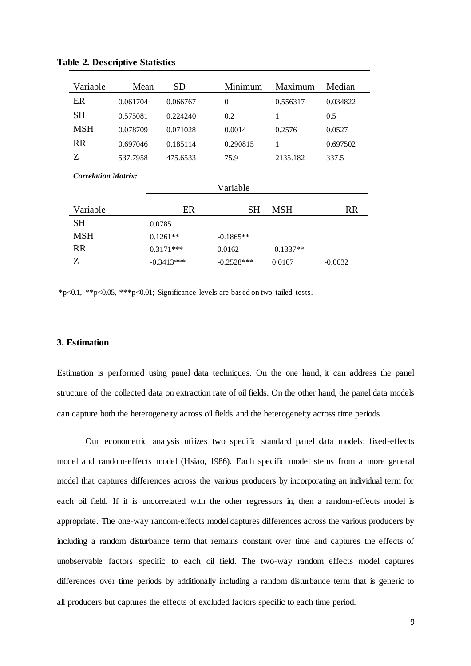| Variable                   | Mean         | SD       | Minimum        | Maximum     | Median    |  |
|----------------------------|--------------|----------|----------------|-------------|-----------|--|
| ER                         | 0.061704     | 0.066767 | $\overline{0}$ | 0.556317    | 0.034822  |  |
| SН                         | 0.575081     | 0.224240 | 0.2            | 1           | 0.5       |  |
| MSH                        | 0.078709     | 0.071028 | 0.0014         | 0.2576      | 0.0527    |  |
| <b>RR</b>                  | 0.697046     | 0.185114 | 0.290815       | 1           | 0.697502  |  |
| Ζ                          | 537.7958     | 475.6533 | 75.9           | 2135.182    | 337.5     |  |
| <b>Correlation Matrix:</b> |              |          |                |             |           |  |
|                            |              |          |                |             |           |  |
|                            |              | ER       |                |             |           |  |
| Variable                   |              |          | SН             | <b>MSH</b>  | <b>RR</b> |  |
| SН                         | 0.0785       |          |                |             |           |  |
| MSH                        | $0.1261**$   |          | $-0.1865**$    |             |           |  |
| <b>RR</b>                  | $0.3171***$  |          | 0.0162         | $-0.1337**$ |           |  |
| Z                          | $-0.3413***$ |          | $-0.2528***$   | 0.0107      | $-0.0632$ |  |

**Table 2. Descriptive Statistics**

\*p<0.1, \*\*p<0.05, \*\*\*p<0.01; Significance levels are based on two-tailed tests.

### **3. Estimation**

Estimation is performed using panel data techniques. On the one hand, it can address the panel structure of the collected data on extraction rate of oil fields. On the other hand, the panel data models can capture both the heterogeneity across oil fields and the heterogeneity across time periods.

Our econometric analysis utilizes two specific standard panel data models: fixed-effects model and random-effects model (Hsiao, 1986). Each specific model stems from a more general model that captures differences across the various producers by incorporating an individual term for each oil field. If it is uncorrelated with the other regressors in, then a random-effects model is appropriate. The one-way random-effects model captures differences across the various producers by including a random disturbance term that remains constant over time and captures the effects of unobservable factors specific to each oil field. The two-way random effects model captures differences over time periods by additionally including a random disturbance term that is generic to all producers but captures the effects of excluded factors specific to each time period.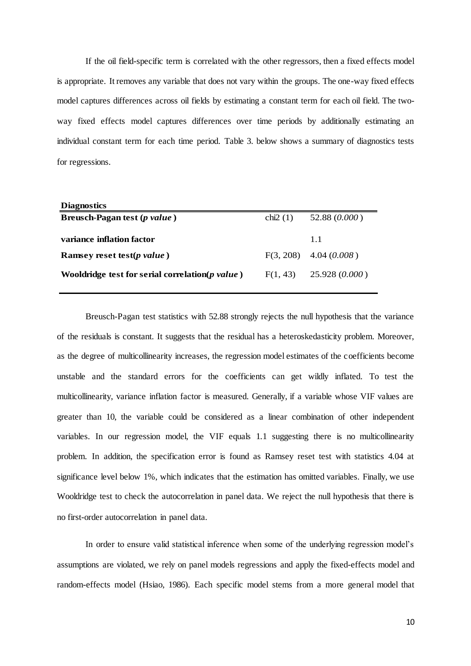If the oil field-specific term is correlated with the other regressors, then a fixed effects model is appropriate. It removes any variable that does not vary within the groups. The one-way fixed effects model captures differences across oil fields by estimating a constant term for each oil field. The twoway fixed effects model captures differences over time periods by additionally estimating an individual constant term for each time period. Table 3. below shows a summary of diagnostics tests for regressions.

| <b>Diagnostics</b>                                 |            |                           |
|----------------------------------------------------|------------|---------------------------|
| Breusch-Pagan test (p value)                       | chi $2(1)$ | 52.88 (0.000)             |
| variance inflation factor                          |            | 1.1                       |
| Ramsey reset test( <i>p</i> value)                 |            | $F(3, 208)$ 4.04 (0.008)  |
| Wooldridge test for serial correlation( $p$ value) |            | $F(1, 43)$ 25.928 (0.000) |

Breusch-Pagan test statistics with 52.88 strongly rejects the null hypothesis that the variance of the residuals is constant. It suggests that the residual has a heteroskedasticity problem. Moreover, as the degree of multicollinearity increases, the regression model estimates of the coefficients become unstable and the standard errors for the coefficients can get wildly inflated. To test the multicollinearity, variance inflation factor is measured. Generally, if a variable whose VIF values are greater than 10, the variable could be considered as a linear combination of other independent variables. In our regression model, the VIF equals 1.1 suggesting there is no multicollinearity problem. In addition, the specification error is found as Ramsey reset test with statistics 4.04 at significance level below 1%, which indicates that the estimation has omitted variables. Finally, we use Wooldridge test to check the autocorrelation in panel data. We reject the null hypothesis that there is no first-order autocorrelation in panel data.

In order to ensure valid statistical inference when some of the underlying regression model's assumptions are violated, we rely on panel models regressions and apply the fixed-effects model and random-effects model (Hsiao, 1986). Each specific model stems from a more general model that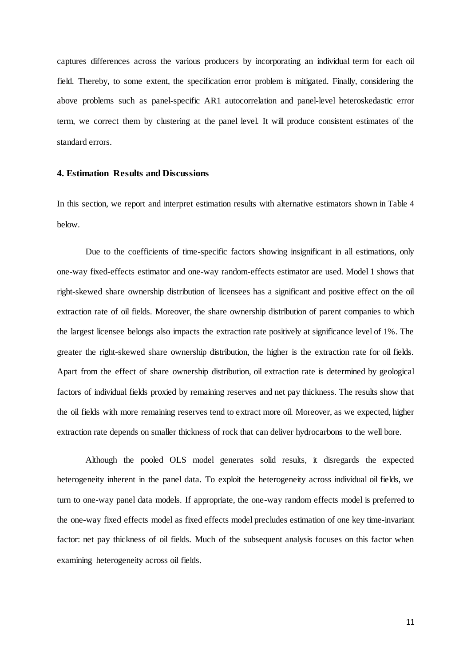captures differences across the various producers by incorporating an individual term for each oil field. Thereby, to some extent, the specification error problem is mitigated. Finally, considering the above problems such as panel-specific AR1 autocorrelation and panel-level heteroskedastic error term, we correct them by clustering at the panel level. It will produce consistent estimates of the standard errors.

#### **4. Estimation Results and Discussions**

In this section, we report and interpret estimation results with alternative estimators shown in Table 4 below.

Due to the coefficients of time-specific factors showing insignificant in all estimations, only one-way fixed-effects estimator and one-way random-effects estimator are used. Model 1 shows that right-skewed share ownership distribution of licensees has a significant and positive effect on the oil extraction rate of oil fields. Moreover, the share ownership distribution of parent companies to which the largest licensee belongs also impacts the extraction rate positively at significance level of 1%. The greater the right-skewed share ownership distribution, the higher is the extraction rate for oil fields. Apart from the effect of share ownership distribution, oil extraction rate is determined by geological factors of individual fields proxied by remaining reserves and net pay thickness. The results show that the oil fields with more remaining reserves tend to extract more oil. Moreover, as we expected, higher extraction rate depends on smaller thickness of rock that can deliver hydrocarbons to the well bore.

Although the pooled OLS model generates solid results, it disregards the expected heterogeneity inherent in the panel data. To exploit the heterogeneity across individual oil fields, we turn to one-way panel data models. If appropriate, the one-way random effects model is preferred to the one-way fixed effects model as fixed effects model precludes estimation of one key time-invariant factor: net pay thickness of oil fields. Much of the subsequent analysis focuses on this factor when examining heterogeneity across oil fields.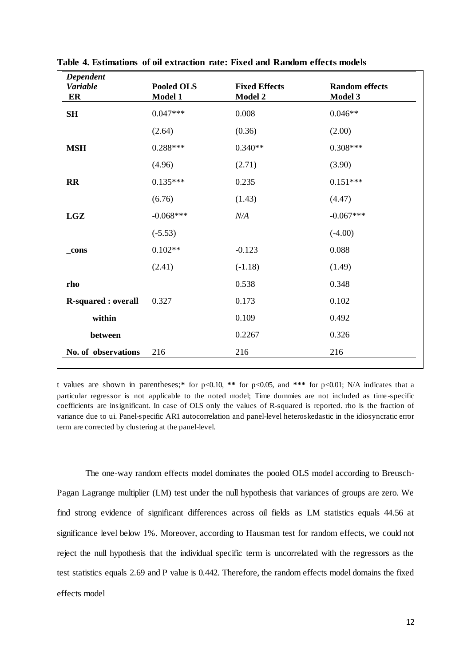| Dependent<br><b>Variable</b><br>ER | <b>Pooled OLS</b><br>Model 1 | <b>Fixed Effects</b><br><b>Model 2</b> | <b>Random effects</b><br>Model 3 |
|------------------------------------|------------------------------|----------------------------------------|----------------------------------|
| SH                                 | $0.047***$                   | 0.008                                  | $0.046**$                        |
|                                    | (2.64)                       | (0.36)                                 | (2.00)                           |
| <b>MSH</b>                         | $0.288***$                   | $0.340**$                              | $0.308***$                       |
|                                    | (4.96)                       | (2.71)                                 | (3.90)                           |
| $\mathbf{R}$                       | $0.135***$                   | 0.235                                  | $0.151***$                       |
|                                    | (6.76)                       | (1.43)                                 | (4.47)                           |
| LGZ                                | $-0.068***$                  | N/A                                    | $-0.067***$                      |
|                                    | $(-5.53)$                    |                                        | $(-4.00)$                        |
| _cons                              | $0.102**$                    | $-0.123$                               | 0.088                            |
|                                    | (2.41)                       | $(-1.18)$                              | (1.49)                           |
| rho                                |                              | 0.538                                  | 0.348                            |
| <b>R-squared : overall</b>         | 0.327                        | 0.173                                  | 0.102                            |
| within                             |                              | 0.109                                  | 0.492                            |
| between                            |                              | 0.2267                                 | 0.326                            |
| No. of observations                | 216                          | 216                                    | 216                              |

**Table 4. Estimations of oil extraction rate: Fixed and Random effects models** 

t values are shown in parentheses;**\*** for p<0.10, **\*\*** for p<0.05, and **\*\*\*** for p<0.01; N/A indicates that a particular regressor is not applicable to the noted model; Time dummies are not included as time -specific coefficients are insignificant. In case of OLS only the values of R-squared is reported. rho is the fraction of variance due to ui. Panel-specific AR1 autocorrelation and panel-level heteroskedastic in the idiosyncratic error term are corrected by clustering at the panel-level.

The one-way random effects model dominates the pooled OLS model according to Breusch-Pagan Lagrange multiplier (LM) test under the null hypothesis that variances of groups are zero. We find strong evidence of significant differences across oil fields as LM statistics equals 44.56 at significance level below 1%. Moreover, according to Hausman test for random effects, we could not reject the null hypothesis that the individual specific term is uncorrelated with the regressors as the test statistics equals 2.69 and P value is 0.442. Therefore, the random effects model domains the fixed effects model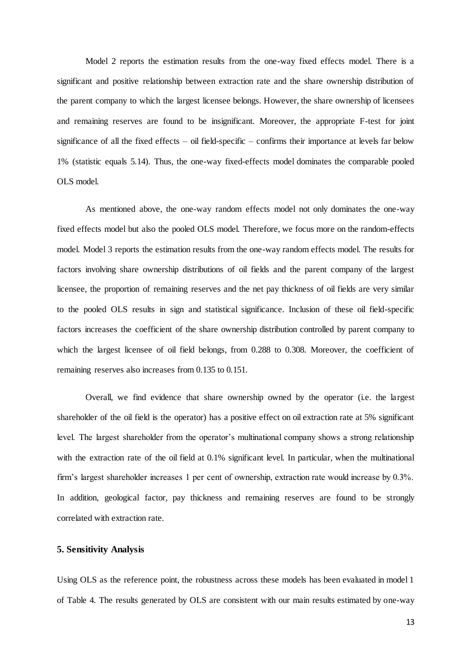Model 2 reports the estimation results from the one-way fixed effects model. There is a significant and positive relationship between extraction rate and the share ownership distribution of the parent company to which the largest licensee belongs. However, the share ownership of licensees and remaining reserves are found to be insignificant. Moreover, the appropriate F-test for joint significance of all the fixed effects – oil field-specific – confirms their importance at levels far below 1% (statistic equals 5.14). Thus, the one-way fixed-effects model dominates the comparable pooled OLS model.

As mentioned above, the one-way random effects model not only dominates the one-way fixed effects model but also the pooled OLS model. Therefore, we focus more on the random-effects model. Model 3 reports the estimation results from the one-way random effects model. The results for factors involving share ownership distributions of oil fields and the parent company of the largest licensee, the proportion of remaining reserves and the net pay thickness of oil fields are very similar to the pooled OLS results in sign and statistical significance. Inclusion of these oil field-specific factors increases the coefficient of the share ownership distribution controlled by parent company to which the largest licensee of oil field belongs, from 0.288 to 0.308. Moreover, the coefficient of remaining reserves also increases from 0.135 to 0.151.

Overall, we find evidence that share ownership owned by the operator (i.e. the largest shareholder of the oil field is the operator) has a positive effect on oil extraction rate at 5% significant level. The largest shareholder from the operator's multinational company shows a strong relationship with the extraction rate of the oil field at 0.1% significant level. In particular, when the multinational firm's largest shareholder increases 1 per cent of ownership, extraction rate would increase by 0.3%. In addition, geological factor, pay thickness and remaining reserves are found to be strongly correlated with extraction rate.

#### **5. Sensitivity Analysis**

Using OLS as the reference point, the robustness across these models has been evaluated in model 1 of Table 4. The results generated by OLS are consistent with our main results estimated by one-way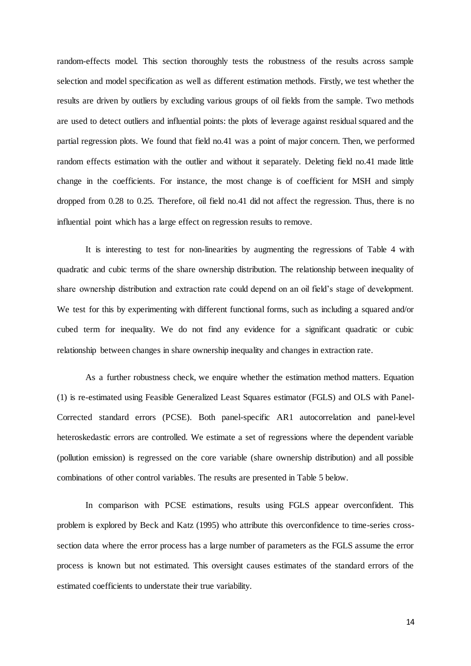random-effects model. This section thoroughly tests the robustness of the results across sample selection and model specification as well as different estimation methods. Firstly, we test whether the results are driven by outliers by excluding various groups of oil fields from the sample. Two methods are used to detect outliers and influential points: the plots of leverage against residual squared and the partial regression plots. We found that field no.41 was a point of major concern. Then, we performed random effects estimation with the outlier and without it separately. Deleting field no.41 made little change in the coefficients. For instance, the most change is of coefficient for MSH and simply dropped from 0.28 to 0.25. Therefore, oil field no.41 did not affect the regression. Thus, there is no influential point which has a large effect on regression results to remove.

It is interesting to test for non-linearities by augmenting the regressions of Table 4 with quadratic and cubic terms of the share ownership distribution. The relationship between inequality of share ownership distribution and extraction rate could depend on an oil field's stage of development. We test for this by experimenting with different functional forms, such as including a squared and/or cubed term for inequality. We do not find any evidence for a significant quadratic or cubic relationship between changes in share ownership inequality and changes in extraction rate.

As a further robustness check, we enquire whether the estimation method matters. Equation (1) is re-estimated using Feasible Generalized Least Squares estimator (FGLS) and OLS with Panel-Corrected standard errors (PCSE). Both panel-specific AR1 autocorrelation and panel-level heteroskedastic errors are controlled. We estimate a set of regressions where the dependent variable (pollution emission) is regressed on the core variable (share ownership distribution) and all possible combinations of other control variables. The results are presented in Table 5 below.

In comparison with PCSE estimations, results using FGLS appear overconfident. This problem is explored by Beck and Katz (1995) who attribute this overconfidence to time-series crosssection data where the error process has a large number of parameters as the FGLS assume the error process is known but not estimated. This oversight causes estimates of the standard errors of the estimated coefficients to understate their true variability.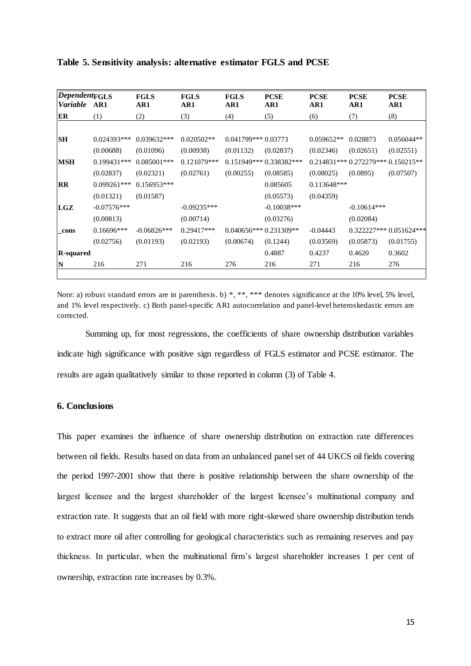| <b>DependentFGLS</b><br><i>Variable</i> | AR1           | <b>FGLS</b><br>AR1 | <b>FGLS</b><br>AR1 | <b>FGLS</b><br>AR1   | <b>PCSE</b><br>AR1       | <b>PCSE</b><br>AR1 | <b>PCSE</b><br>AR1                 | <b>PCSE</b><br>AR1       |
|-----------------------------------------|---------------|--------------------|--------------------|----------------------|--------------------------|--------------------|------------------------------------|--------------------------|
| ER                                      | (1)           | (2)                | (3)                | (4)                  | (5)                      | (6)                | (7)                                | (8)                      |
|                                         |               |                    |                    |                      |                          |                    |                                    |                          |
| <b>SH</b>                               | $0.024393***$ | $0.039632***$      | $0.020502**$       | $0.041799***0.03773$ |                          | $0.059652**$       | 0.028873                           | $0.056044**$             |
|                                         | (0.00688)     | (0.01096)          | (0.00938)          | (0.01132)            | (0.02837)                | (0.02346)          | (0.02651)                          | (0.02551)                |
| <b>MSH</b>                              | $0.199431***$ | $0.085001$ ***     | $0.121079***$      |                      | $0.151949***0.338382***$ |                    | $0.214831***0.272279***0.150215**$ |                          |
|                                         | (0.02837)     | (0.02321)          | (0.02761)          | (0.00255)            | (0.08585)                | (0.08025)          | (0.0895)                           | (0.07507)                |
| RR                                      | $0.099261***$ | $0.156953***$      |                    |                      | 0.085605                 | 0.113648***        |                                    |                          |
|                                         | (0.01321)     | (0.01587)          |                    |                      | (0.05573)                | (0.04359)          |                                    |                          |
| LGZ                                     | $-0.07576***$ |                    | $-0.09235***$      |                      | $-0.10038***$            |                    | $-0.10614***$                      |                          |
|                                         | (0.00813)     |                    | (0.00714)          |                      | (0.03276)                |                    | (0.02084)                          |                          |
| _cons                                   | $0.16696***$  | $-0.06826***$      | $0.29417***$       |                      | $0.040656***0.231309**$  | $-0.04443$         |                                    | $0.322227***0.051624***$ |
|                                         | (0.02756)     | (0.01193)          | (0.02193)          | (0.00674)            | (0.1244)                 | (0.03569)          | (0.05873)                          | (0.01755)                |
| <b>R-squared</b>                        |               |                    |                    |                      | 0.4887                   | 0.4237             | 0.4620                             | 0.3602                   |
| N                                       | 216           | 271                | 216                | 276                  | 216                      | 271                | 216                                | 276                      |
|                                         |               |                    |                    |                      |                          |                    |                                    |                          |

**Table 5. Sensitivity analysis: alternative estimator FGLS and PCSE**

Note: a) robust standard errors are in parenthesis. b) \*, \*\*, \*\*\* denotes significance at the 10% level, 5% level, and 1% level respectively. c) Both panel-specific AR1 autocorrelation and panel-level heteroskedastic errors are corrected.

Summing up, for most regressions, the coefficients of share ownership distribution variables indicate high significance with positive sign regardless of FGLS estimator and PCSE estimator. The results are again qualitatively similar to those reported in column (3) of Table 4.

#### **6. Conclusions**

This paper examines the influence of share ownership distribution on extraction rate differences between oil fields. Results based on data from an unbalanced panel set of 44 UKCS oil fields covering the period 1997-2001 show that there is positive relationship between the share ownership of the largest licensee and the largest shareholder of the largest licensee's multinational company and extraction rate. It suggests that an oil field with more right-skewed share ownership distribution tends to extract more oil after controlling for geological characteristics such as remaining reserves and pay thickness. In particular, when the multinational firm's largest shareholder increases 1 per cent of ownership, extraction rate increases by 0.3%.